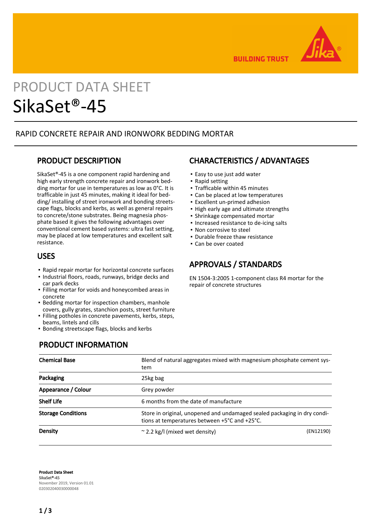

**BUILDING TRUST** 

# PRODUCT DATA SHEET SikaSet®-45

### RAPID CONCRETE REPAIR AND IRONWORK BEDDING MORTAR

### PRODUCT DESCRIPTION

SikaSet®-45 is a one component rapid hardening and high early strength concrete repair and ironwork bedding mortar for use in temperatures as low as 0°C. It is trafficable in just 45 minutes, making it ideal for bedding/ installing of street ironwork and bonding streetscape flags, blocks and kerbs, as well as general repairs to concrete/stone substrates. Being magnesia phosphate based it gives the following advantages over conventional cement based systems: ultra fast setting, may be placed at low temperatures and excellent salt resistance.

### USES

- Rapid repair mortar for horizontal concrete surfaces
- **.** Industrial floors, roads, runways, bridge decks and car park decks
- **Filling mortar for voids and honeycombed areas in** concrete
- **Bedding mortar for inspection chambers, manhole** covers, gully grates, stanchion posts, street furniture
- Filling potholes in concrete pavements, kerbs, steps, beams, lintels and cills
- **.** Bonding streetscape flags, blocks and kerbs

# CHARACTERISTICS / ADVANTAGES

- Easy to use just add water
- Rapid setting
- Trafficable within 45 minutes
- Can be placed at low temperatures
- Excellent un-primed adhesion
- High early age and ultimate strengths
- Shrinkage compensated mortar
- Increased resistance to de-icing salts
- Non corrosive to steel
- Durable freeze thaw resistance
- Can be over coated

# APPROVALS / STANDARDS

EN 1504-3:2005 1-component class R4 mortar for the repair of concrete structures

# PRODUCT INFORMATION

| <b>Chemical Base</b>      | Blend of natural aggregates mixed with magnesium phosphate cement sys-<br>tem                                             |           |  |
|---------------------------|---------------------------------------------------------------------------------------------------------------------------|-----------|--|
| Packaging                 | 25kg bag                                                                                                                  |           |  |
| Appearance / Colour       | Grey powder                                                                                                               |           |  |
| <b>Shelf Life</b>         | 6 months from the date of manufacture                                                                                     |           |  |
| <b>Storage Conditions</b> | Store in original, unopened and undamaged sealed packaging in dry condi-<br>tions at temperatures between +5°C and +25°C. |           |  |
| Density                   | $\approx$ 2.2 kg/l (mixed wet density)                                                                                    | (EN12190) |  |

Product Data Sheet SikaSet®-45 November 2019, Version 01.01 020302040030000048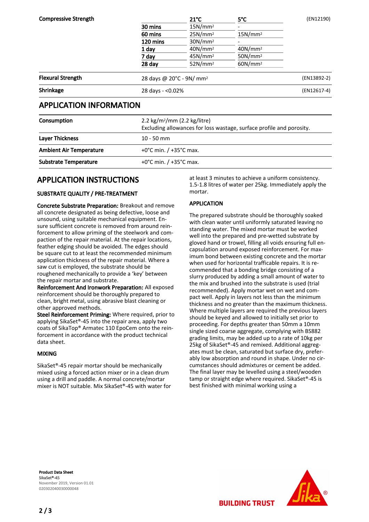| <b>Compressive Strength</b> |                                      | $21^{\circ}$ C                                                                           | $5^{\circ}$ C                                                     | (EN12190) |                                |                                      |  |  |             |
|-----------------------------|--------------------------------------|------------------------------------------------------------------------------------------|-------------------------------------------------------------------|-----------|--------------------------------|--------------------------------------|--|--|-------------|
|                             | 30 mins                              | 15N/mm <sup>2</sup>                                                                      |                                                                   |           |                                |                                      |  |  |             |
|                             | 60 mins                              | 25N/mm <sup>2</sup>                                                                      | 15N/mm <sup>2</sup>                                               |           |                                |                                      |  |  |             |
|                             | 120 mins<br>1 day<br>7 day<br>28 day | 30N/mm <sup>2</sup><br>40N/mm <sup>2</sup><br>45N/mm <sup>2</sup><br>52N/mm <sup>2</sup> | 40N/mm <sup>2</sup><br>50N/mm <sup>2</sup><br>60N/mm <sup>2</sup> |           |                                |                                      |  |  |             |
|                             |                                      |                                                                                          |                                                                   |           | <b>Flexural Strength</b>       | 28 days @ 20°C - 9N/ mm <sup>2</sup> |  |  | (EN13892-2) |
|                             |                                      |                                                                                          |                                                                   |           | Shrinkage                      | 28 days - <0.02%                     |  |  | (EN12617-4) |
|                             |                                      |                                                                                          |                                                                   |           | <b>APPLICATION INFORMATION</b> |                                      |  |  |             |
| Consumption                 |                                      | 2.2 kg/m <sup>2</sup> /mm (2.2 kg/litre)                                                 |                                                                   |           |                                |                                      |  |  |             |

|                                | Excluding allowances for loss wastage, surface profile and porosity. |
|--------------------------------|----------------------------------------------------------------------|
| <b>Layer Thickness</b>         | $10 - 50$ mm                                                         |
| <b>Ambient Air Temperature</b> | +0 $^{\circ}$ C min. / +35 $^{\circ}$ C max.                         |
| <b>Substrate Temperature</b>   | +0 $^{\circ}$ C min. / +35 $^{\circ}$ C max.                         |

# APPLICATION INSTRUCTIONS

#### SUBSTRATE QUALITY / PRE-TREATMENT

Concrete Substrate Preparation: Breakout and remove all concrete designated as being defective, loose and unsound, using suitable mechanical equipment. Ensure sufficient concrete is removed from around reinforcement to allow priming of the steelwork and compaction of the repair material. At the repair locations, feather edging should be avoided. The edges should be square cut to at least the recommended minimum application thickness of the repair material. Where a saw cut is employed, the substrate should be roughened mechanically to provide a 'key' between the repair mortar and substrate.

Reinforcement And Ironwork Preparation: All exposed reinforcement should be thoroughly prepared to clean, bright metal, using abrasive blast cleaning or other approved methods.

Steel Reinforcement Priming: Where required, prior to applying SikaSet®-45 into the repair area, apply two coats of SikaTop® Armatec 110 EpoCem onto the reinforcement in accordance with the product technical data sheet.

#### MIXING

SikaSet®-45 repair mortar should be mechanically mixed using a forced action mixer or in a clean drum using a drill and paddle. A normal concrete/mortar mixer is NOT suitable. Mix SikaSet®-45 with water for at least 3 minutes to achieve a uniform consistency. 1.5-1.8 litres of water per 25kg. Immediately apply the mortar.

#### APPLICATION

The prepared substrate should be thoroughly soaked with clean water until uniformly saturated leaving no standing water. The mixed mortar must be worked well into the prepared and pre-wetted substrate by gloved hand or trowel, filling all voids ensuring full encapsulation around exposed reinforcement. For maximum bond between existing concrete and the mortar when used for horizontal trafficable repairs. It is recommended that a bonding bridge consisting of a slurry produced by adding a small amount of water to the mix and brushed into the substrate is used (trial recommended). Apply mortar wet on wet and compact well. Apply in layers not less than the minimum thickness and no greater than the maximum thickness. Where multiple layers are required the previous layers should be keyed and allowed to initially set prior to proceeding. For depths greater than 50mm a 10mm single sized coarse aggregate, complying with BS882 grading limits, may be added up to a rate of 10kg per 25kg of SikaSet®-45 and remixed. Additional aggregates must be clean, saturated but surface dry, preferably low absorption and round in shape. Under no circumstances should admixtures or cement be added. The final layer may be levelled using a steel/wooden tamp or straight edge where required. SikaSet®-45 is best finished with minimal working using a

Product Data Sheet SikaSet®-45 November 2019, Version 01.01 020302040030000048



**BUILDING TRUST**